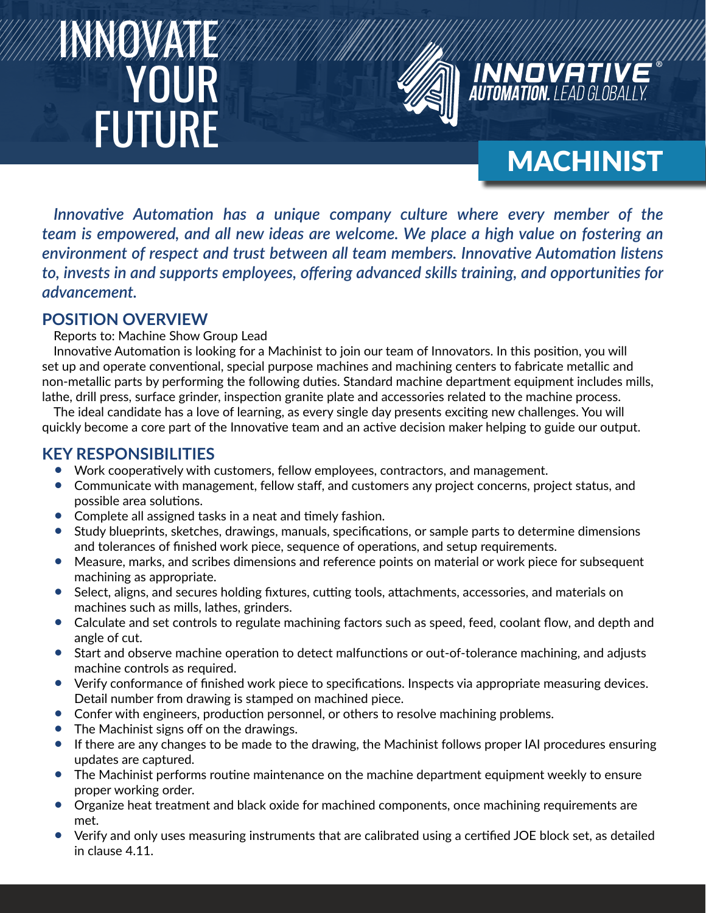# INNOVATE YOUR FUTURE

# **MACHINIST**

**INNOVATI**<br>Automation. LEAD GLOB

*Innovative Automation has a unique company culture where every member of the team is empowered, and all new ideas are welcome. We place a high value on fostering an environment of respect and trust between all team members. Innovative Automation listens to, invests in and supports employees, offering advanced skills training, and opportunities for advancement.*

## **POSITION OVERVIEW**

Reports to: Machine Show Group Lead

Innovative Automation is looking for a Machinist to join our team of Innovators. In this position, you will set up and operate conventional, special purpose machines and machining centers to fabricate metallic and non-metallic parts by performing the following duties. Standard machine department equipment includes mills, lathe, drill press, surface grinder, inspection granite plate and accessories related to the machine process.

The ideal candidate has a love of learning, as every single day presents exciting new challenges. You will quickly become a core part of the Innovative team and an active decision maker helping to guide our output.

#### **KEY RESPONSIBILITIES**

- Work cooperatively with customers, fellow employees, contractors, and management.
- Communicate with management, fellow staff, and customers any project concerns, project status, and possible area solutions.
- Complete all assigned tasks in a neat and timely fashion.
- Study blueprints, sketches, drawings, manuals, specifications, or sample parts to determine dimensions and tolerances of finished work piece, sequence of operations, and setup requirements.
- Measure, marks, and scribes dimensions and reference points on material or work piece for subsequent machining as appropriate.
- Select, aligns, and secures holding fixtures, cutting tools, attachments, accessories, and materials on machines such as mills, lathes, grinders.
- Calculate and set controls to regulate machining factors such as speed, feed, coolant flow, and depth and angle of cut.
- Start and observe machine operation to detect malfunctions or out-of-tolerance machining, and adjusts machine controls as required.
- Verify conformance of finished work piece to specifications. Inspects via appropriate measuring devices. Detail number from drawing is stamped on machined piece.
- Confer with engineers, production personnel, or others to resolve machining problems.
- The Machinist signs off on the drawings.
- If there are any changes to be made to the drawing, the Machinist follows proper IAI procedures ensuring updates are captured.
- The Machinist performs routine maintenance on the machine department equipment weekly to ensure proper working order.
- Organize heat treatment and black oxide for machined components, once machining requirements are met.
- Verify and only uses measuring instruments that are calibrated using a certified JOE block set, as detailed in clause 4.11.